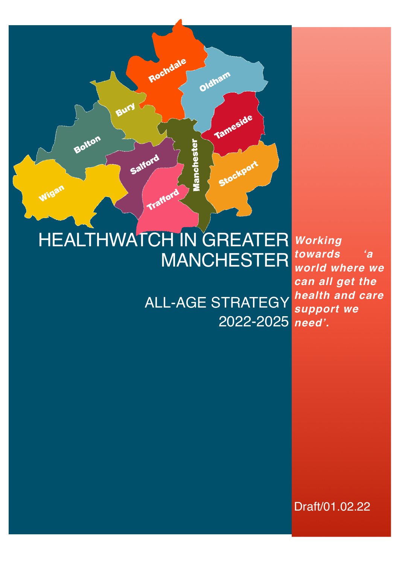# HEALTHWATCH IN GREATER MANCHESTER

Trafford

Rochdale

Bury

Salford

Bolton

Wigan

*need'.* 2022-2025 ALL-AGE STRATEGY

Oldham

Mancheste

Tameside

Stockport

*Working towards 'a world where we can all get the health and care support we* 

Draft/01.02.22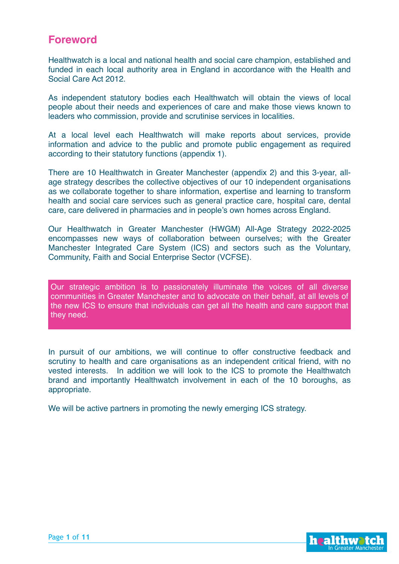## **Foreword**

Healthwatch is a local and national health and social care champion, established and funded in each local authority area in England in accordance with the Health and Social Care Act 2012.

As independent statutory bodies each Healthwatch will obtain the views of local people about their needs and experiences of care and make those views known to leaders who commission, provide and scrutinise services in localities.

At a local level each Healthwatch will make reports about services, provide information and advice to the public and promote public engagement as required according to their statutory functions (appendix 1).

There are 10 Healthwatch in Greater Manchester (appendix 2) and this 3-year, allage strategy describes the collective objectives of our 10 independent organisations as we collaborate together to share information, expertise and learning to transform health and social care services such as general practice care, hospital care, dental care, care delivered in pharmacies and in people's own homes across England.

Our Healthwatch in Greater Manchester (HWGM) All-Age Strategy 2022-2025 encompasses new ways of collaboration between ourselves; with the Greater Manchester Integrated Care System (ICS) and sectors such as the Voluntary, Community, Faith and Social Enterprise Sector (VCFSE).

Our strategic ambition is to passionately illuminate the voices of all diverse communities in Greater Manchester and to advocate on their behalf, at all levels of the new ICS to ensure that individuals can get all the health and care support that they need.

In pursuit of our ambitions, we will continue to offer constructive feedback and scrutiny to health and care organisations as an independent critical friend, with no vested interests. In addition we will look to the ICS to promote the Healthwatch brand and importantly Healthwatch involvement in each of the 10 boroughs, as appropriate.

We will be active partners in promoting the newly emerging ICS strategy.

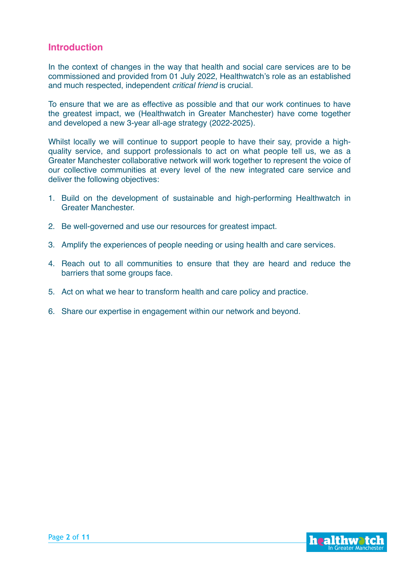#### **Introduction**

In the context of changes in the way that health and social care services are to be commissioned and provided from 01 July 2022, Healthwatch's role as an established and much respected, independent *critical friend* is crucial.

To ensure that we are as effective as possible and that our work continues to have the greatest impact, we (Healthwatch in Greater Manchester) have come together and developed a new 3-year all-age strategy (2022-2025).

Whilst locally we will continue to support people to have their say, provide a highquality service, and support professionals to act on what people tell us, we as a Greater Manchester collaborative network will work together to represent the voice of our collective communities at every level of the new integrated care service and deliver the following objectives:

- 1. Build on the development of sustainable and high-performing Healthwatch in Greater Manchester.
- 2. Be well-governed and use our resources for greatest impact.
- 3. Amplify the experiences of people needing or using health and care services.
- 4. Reach out to all communities to ensure that they are heard and reduce the barriers that some groups face.
- 5. Act on what we hear to transform health and care policy and practice.
- 6. Share our expertise in engagement within our network and beyond.

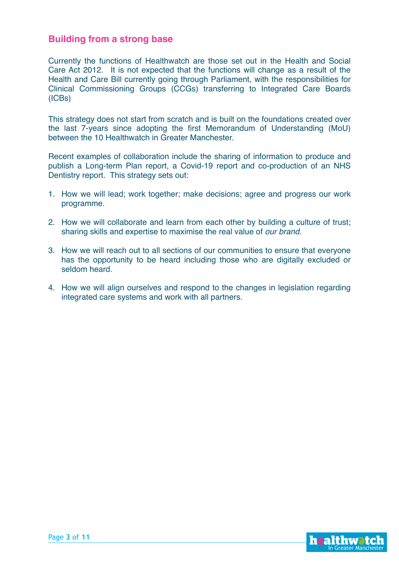#### **Building from a strong base**

Currently the functions of Healthwatch are those set out in the Health and Social Care Act 2012. It is not expected that the functions will change as a result of the Health and Care Bill currently going through Parliament, with the responsibilities for Clinical Commissioning Groups (CCGs) transferring to Integrated Care Boards (ICBs)

This strategy does not start from scratch and is built on the foundations created over the last 7-years since adopting the first Memorandum of Understanding (MoU) between the 10 Healthwatch in Greater Manchester.

Recent examples of collaboration include the sharing of information to produce and publish a Long-term Plan report, a Covid-19 report and co-production of an NHS Dentistry report. This strategy sets out:

- 1. How we will lead; work together; make decisions; agree and progress our work programme.
- 2. How we will collaborate and learn from each other by building a culture of trust; sharing skills and expertise to maximise the real value of *our brand.*
- 3. How we will reach out to all sections of our communities to ensure that everyone has the opportunity to be heard including those who are digitally excluded or seldom heard.
- 4. How we will align ourselves and respond to the changes in legislation regarding integrated care systems and work with all partners.

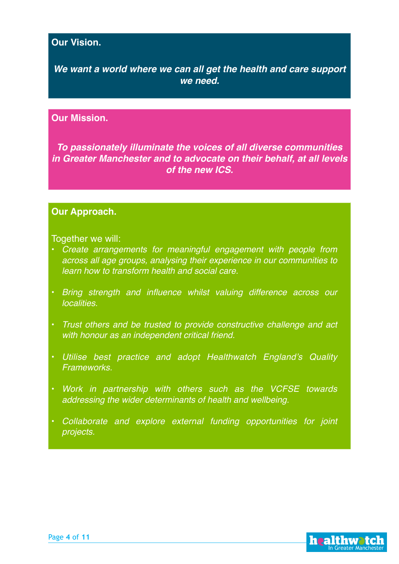## **Our Vision.**

*We want a world where we can all get the health and care support we need.*

#### **Our Mission.**

*To passionately illuminate the voices of all diverse communities in Greater Manchester and to advocate on their behalf, at all levels of the new ICS.*

#### **Our Approach.**

#### Together we will:

- *Create arrangements for meaningful engagement with people from across all age groups, analysing their experience in our communities to learn how to transform health and social care.*
- *Bring strength and influence whilst valuing difference across our localities.*
- *Trust others and be trusted to provide constructive challenge and act with honour as an independent critical friend.*
- *Utilise best practice and adopt Healthwatch England's Quality Frameworks.*
- *Work in partnership with others such as the VCFSE towards addressing the wider determinants of health and wellbeing.*
- *Collaborate and explore external funding opportunities for joint projects.*

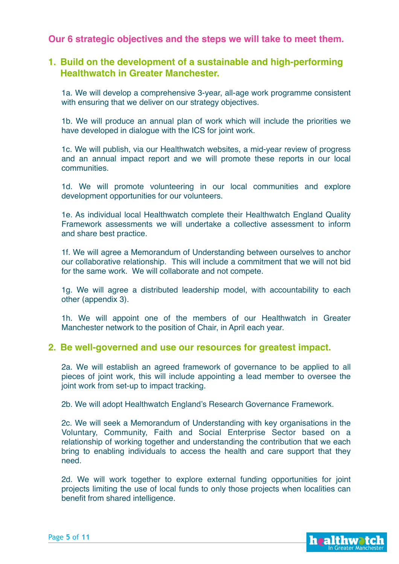#### **Our 6 strategic objectives and the steps we will take to meet them.**

#### **1. Build on the development of a sustainable and high-performing Healthwatch in Greater Manchester.**

1a. We will develop a comprehensive 3-year, all-age work programme consistent with ensuring that we deliver on our strategy objectives.

1b. We will produce an annual plan of work which will include the priorities we have developed in dialogue with the ICS for joint work.

1c. We will publish, via our Healthwatch websites, a mid-year review of progress and an annual impact report and we will promote these reports in our local communities.

1d. We will promote volunteering in our local communities and explore development opportunities for our volunteers.

1e. As individual local Healthwatch complete their Healthwatch England Quality Framework assessments we will undertake a collective assessment to inform and share best practice.

1f. We will agree a Memorandum of Understanding between ourselves to anchor our collaborative relationship. This will include a commitment that we will not bid for the same work. We will collaborate and not compete.

1g. We will agree a distributed leadership model, with accountability to each other (appendix 3).

1h. We will appoint one of the members of our Healthwatch in Greater Manchester network to the position of Chair, in April each year.

#### **2. Be well-governed and use our resources for greatest impact.**

2a. We will establish an agreed framework of governance to be applied to all pieces of joint work, this will include appointing a lead member to oversee the joint work from set-up to impact tracking.

2b. We will adopt Healthwatch England's Research Governance Framework.

2c. We will seek a Memorandum of Understanding with key organisations in the Voluntary, Community, Faith and Social Enterprise Sector based on a relationship of working together and understanding the contribution that we each bring to enabling individuals to access the health and care support that they need.

2d. We will work together to explore external funding opportunities for joint projects limiting the use of local funds to only those projects when localities can benefit from shared intelligence.

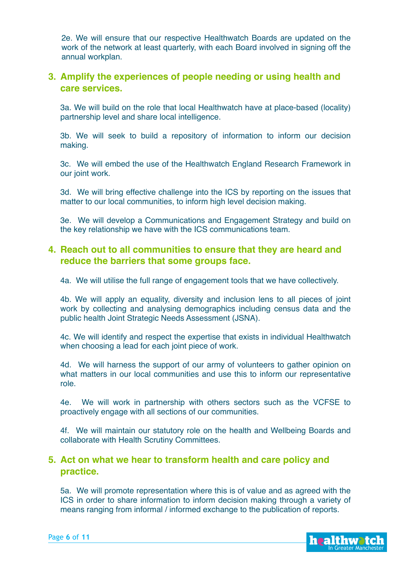2e. We will ensure that our respective Healthwatch Boards are updated on the work of the network at least quarterly, with each Board involved in signing off the annual workplan.

## **3. Amplify the experiences of people needing or using health and care services.**

3a. We will build on the role that local Healthwatch have at place-based (locality) partnership level and share local intelligence.

3b. We will seek to build a repository of information to inform our decision making.

3c. We will embed the use of the Healthwatch England Research Framework in our joint work.

3d. We will bring effective challenge into the ICS by reporting on the issues that matter to our local communities, to inform high level decision making.

3e. We will develop a Communications and Engagement Strategy and build on the key relationship we have with the ICS communications team.

## **4. Reach out to all communities to ensure that they are heard and reduce the barriers that some groups face.**

4a. We will utilise the full range of engagement tools that we have collectively.

4b. We will apply an equality, diversity and inclusion lens to all pieces of joint work by collecting and analysing demographics including census data and the public health Joint Strategic Needs Assessment (JSNA).

4c. We will identify and respect the expertise that exists in individual Healthwatch when choosing a lead for each joint piece of work.

4d. We will harness the support of our army of volunteers to gather opinion on what matters in our local communities and use this to inform our representative role.

4e. We will work in partnership with others sectors such as the VCFSE to proactively engage with all sections of our communities.

4f. We will maintain our statutory role on the health and Wellbeing Boards and collaborate with Health Scrutiny Committees.

#### **5. Act on what we hear to transform health and care policy and practice.**

5a. We will promote representation where this is of value and as agreed with the ICS in order to share information to inform decision making through a variety of means ranging from informal / informed exchange to the publication of reports.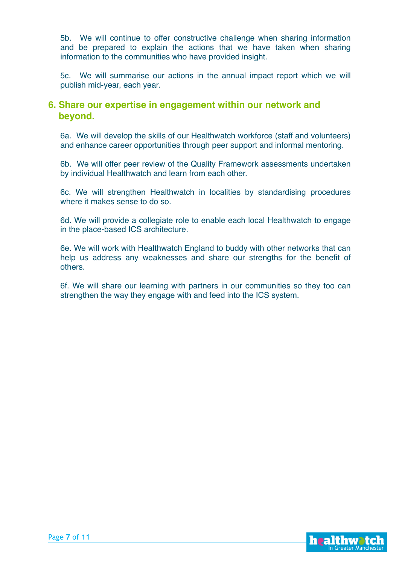5b. We will continue to offer constructive challenge when sharing information and be prepared to explain the actions that we have taken when sharing information to the communities who have provided insight.

5c. We will summarise our actions in the annual impact report which we will publish mid-year, each year.

#### **6. Share our expertise in engagement within our network and beyond.**

6a. We will develop the skills of our Healthwatch workforce (staff and volunteers) and enhance career opportunities through peer support and informal mentoring.

6b. We will offer peer review of the Quality Framework assessments undertaken by individual Healthwatch and learn from each other.

6c. We will strengthen Healthwatch in localities by standardising procedures where it makes sense to do so.

6d. We will provide a collegiate role to enable each local Healthwatch to engage in the place-based ICS architecture.

6e. We will work with Healthwatch England to buddy with other networks that can help us address any weaknesses and share our strengths for the benefit of others.

6f. We will share our learning with partners in our communities so they too can strengthen the way they engage with and feed into the ICS system.

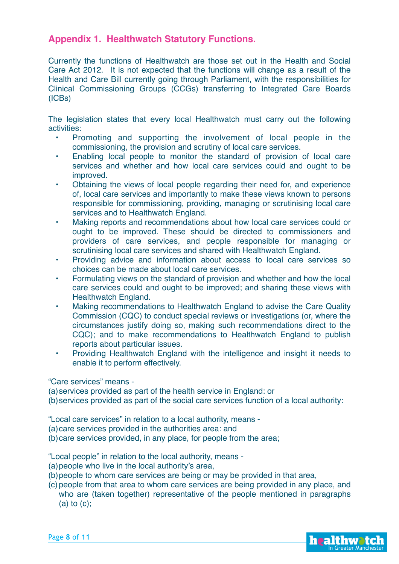## **Appendix 1. Healthwatch Statutory Functions.**

Currently the functions of Healthwatch are those set out in the Health and Social Care Act 2012. It is not expected that the functions will change as a result of the Health and Care Bill currently going through Parliament, with the responsibilities for Clinical Commissioning Groups (CCGs) transferring to Integrated Care Boards (ICBs)

The legislation states that every local Healthwatch must carry out the following activities:

- Promoting and supporting the involvement of local people in the commissioning, the provision and scrutiny of local care services.
- Enabling local people to monitor the standard of provision of local care services and whether and how local care services could and ought to be improved.
- Obtaining the views of local people regarding their need for, and experience of, local care services and importantly to make these views known to persons responsible for commissioning, providing, managing or scrutinising local care services and to Healthwatch England.
- Making reports and recommendations about how local care services could or ought to be improved. These should be directed to commissioners and providers of care services, and people responsible for managing or scrutinising local care services and shared with Healthwatch England.
- Providing advice and information about access to local care services so choices can be made about local care services.
- Formulating views on the standard of provision and whether and how the local care services could and ought to be improved; and sharing these views with Healthwatch England.
- Making recommendations to Healthwatch England to advise the Care Quality Commission (CQC) to conduct special reviews or investigations (or, where the circumstances justify doing so, making such recommendations direct to the CQC); and to make recommendations to Healthwatch England to publish reports about particular issues.
- Providing Healthwatch England with the intelligence and insight it needs to enable it to perform effectively.

"Care services" means -

(a)services provided as part of the health service in England: or

(b)services provided as part of the social care services function of a local authority:

"Local care services" in relation to a local authority, means -

(a)care services provided in the authorities area: and

(b)care services provided, in any place, for people from the area;

"Local people" in relation to the local authority, means -

- (a)people who live in the local authority's area,
- (b)people to whom care services are being or may be provided in that area,
- (c) people from that area to whom care services are being provided in any place, and who are (taken together) representative of the people mentioned in paragraphs (a) to  $(c)$ ;

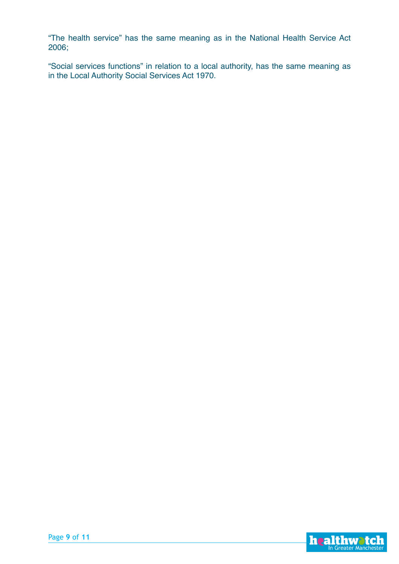"The health service" has the same meaning as in the National Health Service Act 2006;

"Social services functions" in relation to a local authority, has the same meaning as in the Local Authority Social Services Act 1970.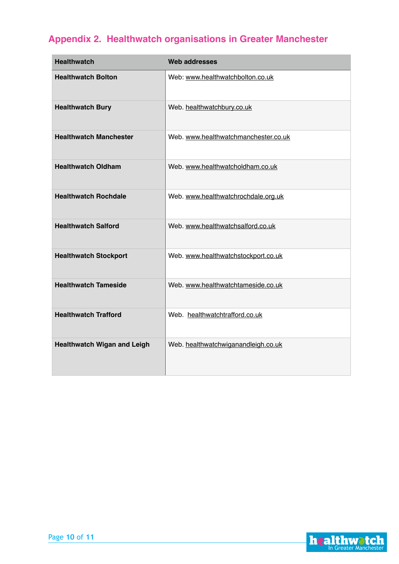# **Appendix 2. Healthwatch organisations in Greater Manchester**

| <b>Healthwatch</b>                 | <b>Web addresses</b>                 |
|------------------------------------|--------------------------------------|
| <b>Healthwatch Bolton</b>          | Web: www.healthwatchbolton.co.uk     |
| <b>Healthwatch Bury</b>            | Web. healthwatchbury.co.uk           |
| <b>Healthwatch Manchester</b>      | Web. www.healthwatchmanchester.co.uk |
| <b>Healthwatch Oldham</b>          | Web. www.healthwatcholdham.co.uk     |
| <b>Healthwatch Rochdale</b>        | Web. www.healthwatchrochdale.org.uk  |
| <b>Healthwatch Salford</b>         | Web. www.healthwatchsalford.co.uk    |
| <b>Healthwatch Stockport</b>       | Web. www.healthwatchstockport.co.uk  |
| <b>Healthwatch Tameside</b>        | Web. www.healthwatchtameside.co.uk   |
| <b>Healthwatch Trafford</b>        | Web. healthwatchtrafford.co.uk       |
| <b>Healthwatch Wigan and Leigh</b> | Web. healthwatchwiganandleigh.co.uk  |